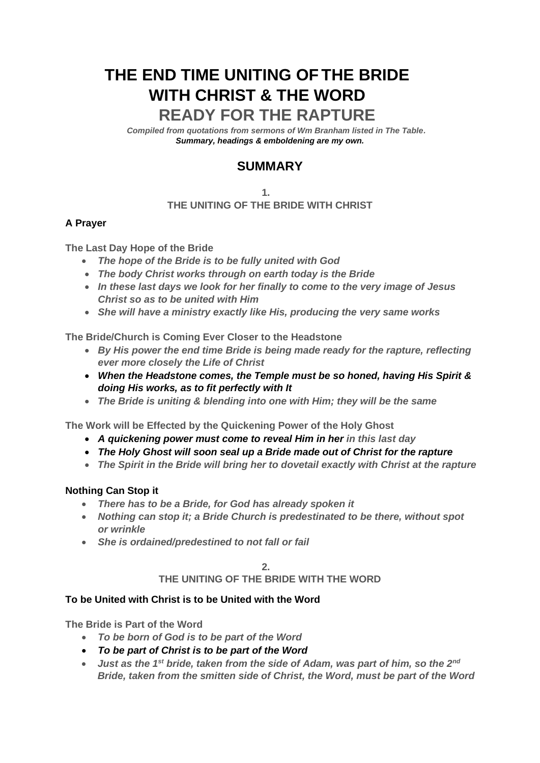# **THE END TIME UNITING OF THE BRIDE WITH CHRIST & THE WORD**

# **READY FOR THE RAPTURE .**

*Compiled from quotations from sermons of Wm Branham listed in The Table. Summary, headings & emboldening are my own.*

## **SUMMARY**

#### **1. THE UNITING OF THE BRIDE WITH CHRIST**

## **A Prayer**

**The Last Day Hope of the Bride**

- *The hope of the Bride is to be fully united with God*
- *The body Christ works through on earth today is the Bride*
- *In these last days we look for her finally to come to the very image of Jesus Christ so as to be united with Him*
- *She will have a ministry exactly like His, producing the very same works*

**The Bride/Church is Coming Ever Closer to the Headstone**

- *By His power the end time Bride is being made ready for the rapture, reflecting ever more closely the Life of Christ*
- *When the Headstone comes, the Temple must be so honed, having His Spirit & doing His works, as to fit perfectly with It*
- *The Bride is uniting & blending into one with Him; they will be the same*

**The Work will be Effected by the Quickening Power of the Holy Ghost**

- *A quickening power must come to reveal Him in her in this last day*
- *The Holy Ghost will soon seal up a Bride made out of Christ for the rapture*
- *The Spirit in the Bride will bring her to dovetail exactly with Christ at the rapture*

#### **Nothing Can Stop it**

- *There has to be a Bride, for God has already spoken it*
- *Nothing can stop it; a Bride Church is predestinated to be there, without spot or wrinkle*
- *She is ordained/predestined to not fall or fail*

**2.**

#### **THE UNITING OF THE BRIDE WITH THE WORD**

#### **To be United with Christ is to be United with the Word**

**The Bride is Part of the Word**

- *To be born of God is to be part of the Word*
- *To be part of Christ is to be part of the Word*
- *Just as the 1st bride, taken from the side of Adam, was part of him, so the 2nd Bride, taken from the smitten side of Christ, the Word, must be part of the Word*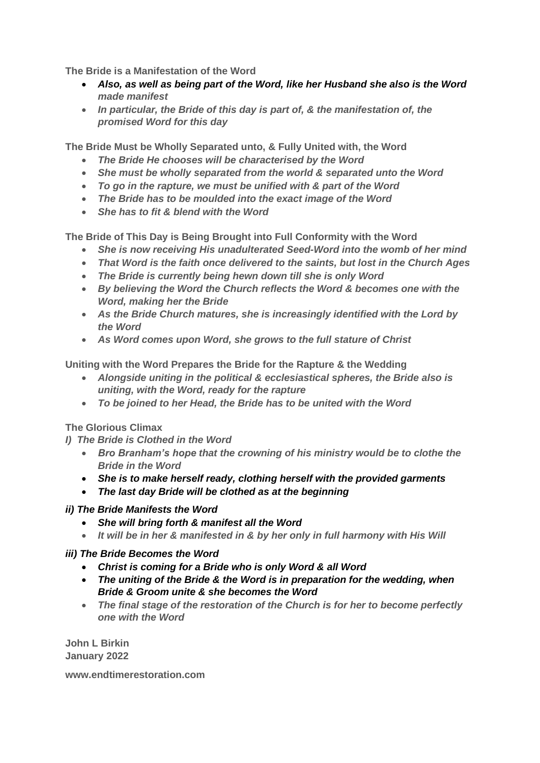**The Bride is a Manifestation of the Word**

- *Also, as well as being part of the Word, like her Husband she also is the Word made manifest*
- *In particular, the Bride of this day is part of, & the manifestation of, the promised Word for this day*

**The Bride Must be Wholly Separated unto, & Fully United with, the Word**

- *The Bride He chooses will be characterised by the Word*
- *She must be wholly separated from the world & separated unto the Word*
- *To go in the rapture, we must be unified with & part of the Word*
- *The Bride has to be moulded into the exact image of the Word*
- *She has to fit & blend with the Word*

**The Bride of This Day is Being Brought into Full Conformity with the Word**

- *She is now receiving His unadulterated Seed-Word into the womb of her mind*
- *That Word is the faith once delivered to the saints, but lost in the Church Ages*
- *The Bride is currently being hewn down till she is only Word*
- *By believing the Word the Church reflects the Word & becomes one with the Word, making her the Bride*
- *As the Bride Church matures, she is increasingly identified with the Lord by the Word*
- *As Word comes upon Word, she grows to the full stature of Christ*

**Uniting with the Word Prepares the Bride for the Rapture & the Wedding**

- *Alongside uniting in the political & ecclesiastical spheres, the Bride also is uniting, with the Word, ready for the rapture*
- *To be joined to her Head, the Bride has to be united with the Word*

**The Glorious Climax**

*I) The Bride is Clothed in the Word*

- *Bro Branham's hope that the crowning of his ministry would be to clothe the Bride in the Word*
- *She is to make herself ready, clothing herself with the provided garments*
- *The last day Bride will be clothed as at the beginning*

## *ii) The Bride Manifests the Word*

- *She will bring forth & manifest all the Word*
- *It will be in her & manifested in & by her only in full harmony with His Will*

## *iii) The Bride Becomes the Word*

- *Christ is coming for a Bride who is only Word & all Word*
- *The uniting of the Bride & the Word is in preparation for the wedding, when Bride & Groom unite & she becomes the Word*
- *The final stage of the restoration of the Church is for her to become perfectly one with the Word*

**John L Birkin January 2022**

**www.endtimerestoration.com**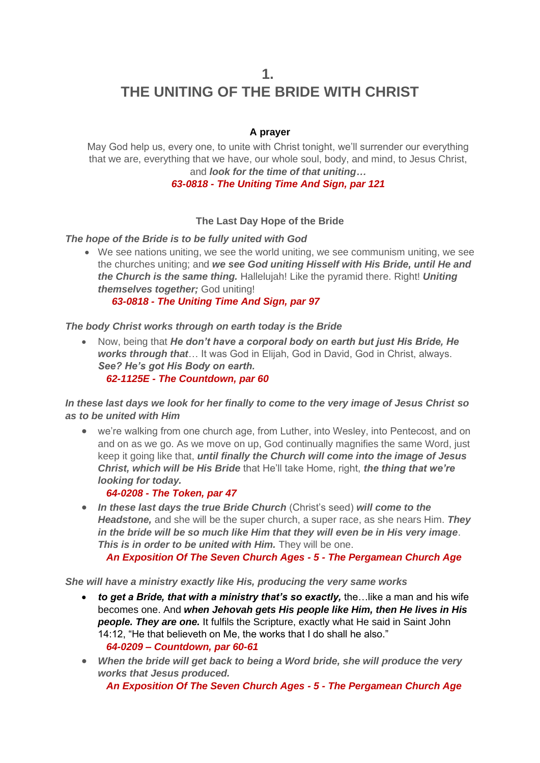**1. THE UNITING OF THE BRIDE WITH CHRIST**

## **A prayer**

May God help us, every one, to unite with Christ tonight, we'll surrender our everything that we are, everything that we have, our whole soul, body, and mind, to Jesus Christ, and *look for the time of that uniting…*

## *63-0818 - The Uniting Time And Sign, par 121*

## **The Last Day Hope of the Bride**

*The hope of the Bride is to be fully united with God*

• We see nations uniting, we see the world uniting, we see communism uniting, we see the churches uniting; and *we see God uniting Hisself with His Bride, until He and the Church is the same thing.* Hallelujah! Like the pyramid there. Right! *Uniting themselves together;* God uniting!

 *63-0818 - The Uniting Time And Sign, par 97*

#### *The body Christ works through on earth today is the Bride*

• Now, being that *He don't have a corporal body on earth but just His Bride, He works through that*… It was God in Elijah, God in David, God in Christ, always. *See? He's got His Body on earth. 62-1125E - The Countdown, par 60*

*In these last days we look for her finally to come to the very image of Jesus Christ so as to be united with Him*

• we're walking from one church age, from Luther, into Wesley, into Pentecost, and on and on as we go. As we move on up, God continually magnifies the same Word, just keep it going like that, *until finally the Church will come into the image of Jesus Christ, which will be His Bride* that He'll take Home, right, *the thing that we're looking for today.*

#### *64-0208 - The Token, par 47*

• *In these last days the true Bride Church* (Christ's seed) *will come to the Headstone,* and she will be the super church, a super race, as she nears Him. *They in the bride will be so much like Him that they will even be in His very image*. *This is in order to be united with Him.* They will be one.

 *An Exposition Of The Seven Church Ages - 5 - The Pergamean Church Age*

*She will have a ministry exactly like His, producing the very same works* 

- *to get a Bride, that with a ministry that's so exactly,* the…like a man and his wife becomes one. And *when Jehovah gets His people like Him, then He lives in His people. They are one.* It fulfils the Scripture, exactly what He said in Saint John 14:12, "He that believeth on Me, the works that I do shall he also."  *64-0209 – Countdown, par 60-61*
- *When the bride will get back to being a Word bride, she will produce the very works that Jesus produced.*

 *An Exposition Of The Seven Church Ages - 5 - The Pergamean Church Age*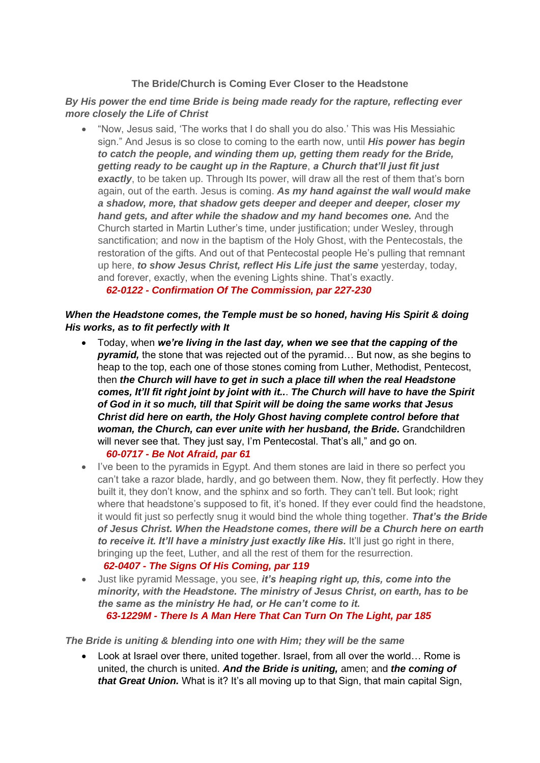#### **The Bride/Church is Coming Ever Closer to the Headstone**

#### *By His power the end time Bride is being made ready for the rapture, reflecting ever more closely the Life of Christ*

• "Now, Jesus said, 'The works that I do shall you do also.' This was His Messiahic sign." And Jesus is so close to coming to the earth now, until *His power has begin to catch the people, and winding them up, getting them ready for the Bride, getting ready to be caught up in the Rapture*, *a Church that'll just fit just*  **exactly**, to be taken up. Through Its power, will draw all the rest of them that's born again, out of the earth. Jesus is coming. *As my hand against the wall would make a shadow, more, that shadow gets deeper and deeper and deeper, closer my hand gets, and after while the shadow and my hand becomes one.* And the Church started in Martin Luther's time, under justification; under Wesley, through sanctification; and now in the baptism of the Holy Ghost, with the Pentecostals, the restoration of the gifts. And out of that Pentecostal people He's pulling that remnant up here, *to show Jesus Christ, reflect His Life just the same* yesterday, today, and forever, exactly, when the evening Lights shine. That's exactly.  *62-0122 - Confirmation Of The Commission, par 227-230*

## *When the Headstone comes, the Temple must be so honed, having His Spirit & doing His works, as to fit perfectly with It*

- Today, when *we're living in the last day, when we see that the capping of the pyramid,* the stone that was rejected out of the pyramid… But now, as she begins to heap to the top, each one of those stones coming from Luther, Methodist, Pentecost, then *the Church will have to get in such a place till when the real Headstone comes, It'll fit right joint by joint with it..*. *The Church will have to have the Spirit of God in it so much, till that Spirit will be doing the same works that Jesus Christ did here on earth, the Holy Ghost having complete control before that woman, the Church, can ever unite with her husband, the Bride.* Grandchildren will never see that. They just say, I'm Pentecostal. That's all," and go on.  *60-0717 - Be Not Afraid, par 61*
- I've been to the pyramids in Egypt. And them stones are laid in there so perfect you can't take a razor blade, hardly, and go between them. Now, they fit perfectly. How they built it, they don't know, and the sphinx and so forth. They can't tell. But look; right where that headstone's supposed to fit, it's honed. If they ever could find the headstone, it would fit just so perfectly snug it would bind the whole thing together. *That's the Bride of Jesus Christ. When the Headstone comes, there will be a Church here on earth to receive it. It'll have a ministry just exactly like His.* It'll just go right in there, bringing up the feet, Luther, and all the rest of them for the resurrection.  *62-0407 - The Signs Of His Coming, par 119*
- Just like pyramid Message, you see, *it's heaping right up, this, come into the minority, with the Headstone. The ministry of Jesus Christ, on earth, has to be the same as the ministry He had, or He can't come to it. 63-1229M - There Is A Man Here That Can Turn On The Light, par 185*

#### *The Bride is uniting & blending into one with Him; they will be the same*

• Look at Israel over there, united together. Israel, from all over the world... Rome is united, the church is united. *And the Bride is uniting,* amen; and *the coming of that Great Union.* What is it? It's all moving up to that Sign, that main capital Sign,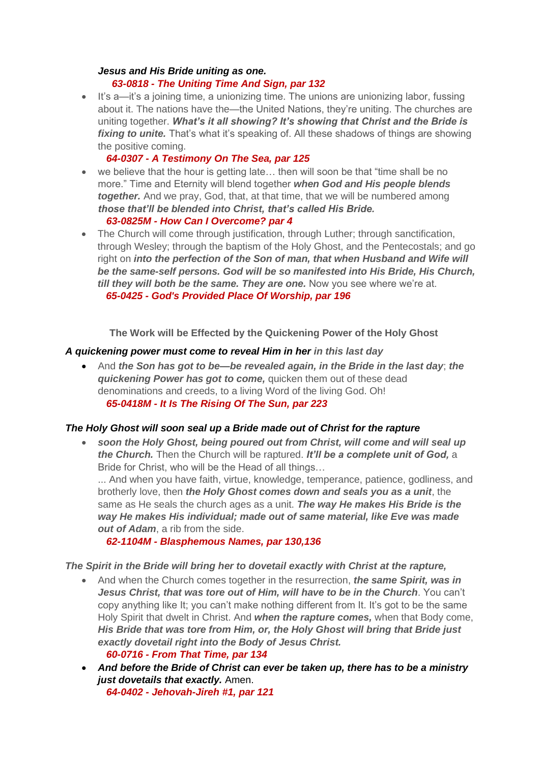#### *Jesus and His Bride uniting as one. 63-0818 - The Uniting Time And Sign, par 132*

• It's a—it's a joining time, a unionizing time. The unions are unionizing labor, fussing about it. The nations have the—the United Nations, they're uniting. The churches are uniting together. *What's it all showing? It's showing that Christ and the Bride is*  fixing to unite. That's what it's speaking of. All these shadows of things are showing the positive coming.

## *64-0307 - A Testimony On The Sea, par 125*

• we believe that the hour is getting late... then will soon be that "time shall be no more." Time and Eternity will blend together *when God and His people blends together.* And we pray, God, that, at that time, that we will be numbered among *those that'll be blended into Christ, that's called His Bride.*

## *63-0825M - How Can I Overcome? par 4*

• The Church will come through justification, through Luther; through sanctification, through Wesley; through the baptism of the Holy Ghost, and the Pentecostals; and go right on *into the perfection of the Son of man, that when Husband and Wife will be the same-self persons. God will be so manifested into His Bride, His Church, till they will both be the same. They are one.* Now you see where we're at.  *65-0425 - God's Provided Place Of Worship, par 196*

**The Work will be Effected by the Quickening Power of the Holy Ghost**

## *A quickening power must come to reveal Him in her in this last day*

• And *the Son has got to be—be revealed again, in the Bride in the last day*; *the quickening Power has got to come,* quicken them out of these dead denominations and creeds, to a living Word of the living God. Oh!  *65-0418M - It Is The Rising Of The Sun, par 223*

## *The Holy Ghost will soon seal up a Bride made out of Christ for the rapture*

• *soon the Holy Ghost, being poured out from Christ, will come and will seal up the Church.* Then the Church will be raptured. *It'll be a complete unit of God,* a Bride for Christ, who will be the Head of all things…

... And when you have faith, virtue, knowledge, temperance, patience, godliness, and brotherly love, then *the Holy Ghost comes down and seals you as a unit*, the same as He seals the church ages as a unit. *The way He makes His Bride is the way He makes His individual; made out of same material, like Eve was made out of Adam*, a rib from the side.

 *62-1104M - Blasphemous Names, par 130,136*

*The Spirit in the Bride will bring her to dovetail exactly with Christ at the rapture,*

• And when the Church comes together in the resurrection, *the same Spirit, was in Jesus Christ, that was tore out of Him, will have to be in the Church*. You can't copy anything like It; you can't make nothing different from It. It's got to be the same Holy Spirit that dwelt in Christ. And *when the rapture comes,* when that Body come, *His Bride that was tore from Him, or, the Holy Ghost will bring that Bride just exactly dovetail right into the Body of Jesus Christ.*

## *60-0716 - From That Time, par 134*

• *And before the Bride of Christ can ever be taken up, there has to be a ministry just dovetails that exactly.* Amen.  *64-0402 - Jehovah-Jireh #1, par 121*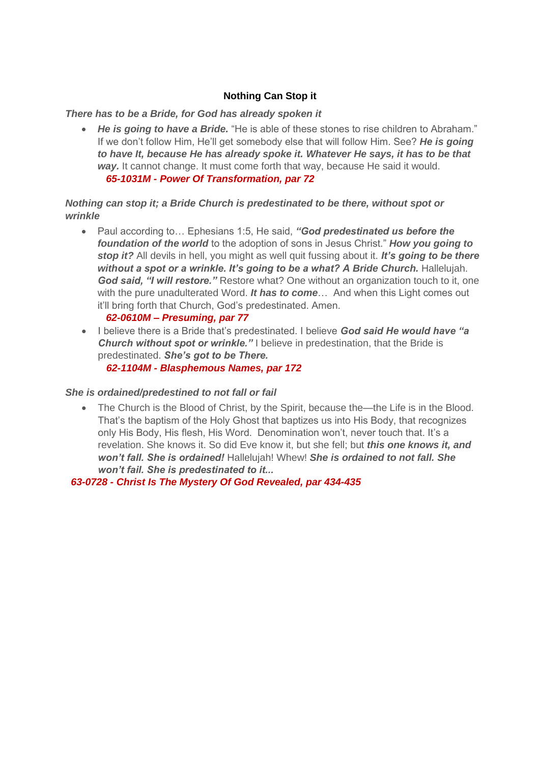## **Nothing Can Stop it**

#### *There has to be a Bride, for God has already spoken it*

• *He is going to have a Bride.* "He is able of these stones to rise children to Abraham." If we don't follow Him, He'll get somebody else that will follow Him. See? *He is going to have It, because He has already spoke it. Whatever He says, it has to be that way.* It cannot change. It must come forth that way, because He said it would.  *65-1031M - Power Of Transformation, par 72*

#### *Nothing can stop it; a Bride Church is predestinated to be there, without spot or wrinkle*

• Paul according to… Ephesians 1:5, He said, *"God predestinated us before the foundation of the world* to the adoption of sons in Jesus Christ." *How you going to stop it?* All devils in hell, you might as well quit fussing about it. *It's going to be there without a spot or a wrinkle. It's going to be a what? A Bride Church.* Hallelujah. *God said, "I will restore."* Restore what? One without an organization touch to it, one with the pure unadulterated Word. *It has to come...* And when this Light comes out it'll bring forth that Church, God's predestinated. Amen.

#### *62-0610M – Presuming, par 77*

• I believe there is a Bride that's predestinated. I believe *God said He would have "a*  **Church without spot or wrinkle.**" I believe in predestination, that the Bride is predestinated. *She's got to be There.*

 *62-1104M - Blasphemous Names, par 172*

#### *She is ordained/predestined to not fall or fail*

• The Church is the Blood of Christ, by the Spirit, because the—the Life is in the Blood. That's the baptism of the Holy Ghost that baptizes us into His Body, that recognizes only His Body, His flesh, His Word. Denomination won't, never touch that. It's a revelation. She knows it. So did Eve know it, but she fell; but *this one knows it, and won't fall. She is ordained!* Hallelujah! Whew! *She is ordained to not fall. She won't fail. She is predestinated to it...*

 *63-0728 - Christ Is The Mystery Of God Revealed, par 434-435*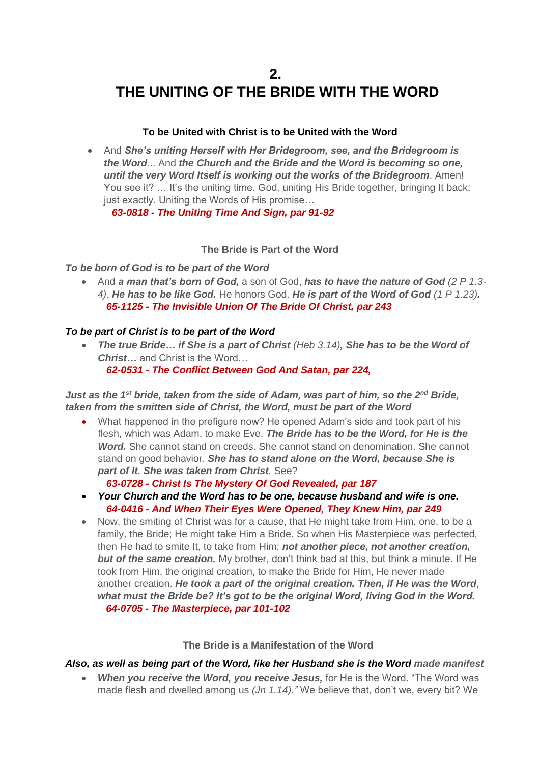## **2. THE UNITING OF THE BRIDE WITH THE WORD**

#### **To be United with Christ is to be United with the Word**

• And *She's uniting Herself with Her Bridegroom, see, and the Bridegroom is the Word*... And *the Church and the Bride and the Word is becoming so one, until the very Word Itself is working out the works of the Bridegroom*. Amen! You see it? ... It's the uniting time. God, uniting His Bride together, bringing It back: just exactly. Uniting the Words of His promise…

 *63-0818 - The Uniting Time And Sign, par 91-92*

#### **The Bride is Part of the Word**

*To be born of God is to be part of the Word*

• And *a man that's born of God,* a son of God, *has to have the nature of God (2 P 1.3- 4). He has to be like God.* He honors God. *He is part of the Word of God (1 P 1.23). 65-1125 - The Invisible Union Of The Bride Of Christ, par 243*

#### *To be part of Christ is to be part of the Word*

• *The true Bride… if She is a part of Christ (Heb 3.14), She has to be the Word of Christ…* and Christ is the Word…  *62-0531 - The Conflict Between God And Satan, par 224,*

*Just as the 1<sup>st</sup> bride, taken from the side of Adam, was part of him, so the 2<sup>nd</sup> Bride, taken from the smitten side of Christ, the Word, must be part of the Word*

• What happened in the prefigure now? He opened Adam's side and took part of his flesh, which was Adam, to make Eve. *The Bride has to be the Word, for He is the Word.* She cannot stand on creeds. She cannot stand on denomination. She cannot stand on good behavior. *She has to stand alone on the Word, because She is part of It. She was taken from Christ.* See?

#### *63-0728 - Christ Is The Mystery Of God Revealed, par 187*

- *Your Church and the Word has to be one, because husband and wife is one. 64-0416 - And When Their Eyes Were Opened, They Knew Him, par 249*
- Now, the smiting of Christ was for a cause, that He might take from Him, one, to be a family, the Bride; He might take Him a Bride. So when His Masterpiece was perfected, then He had to smite It, to take from Him; *not another piece, not another creation, but of the same creation.* My brother, don't think bad at this, but think a minute. If He took from Him, the original creation, to make the Bride for Him, He never made another creation. *He took a part of the original creation. Then, if He was the Word*, *what must the Bride be? It's got to be the original Word, living God in the Word. 64-0705 - The Masterpiece, par 101-102*

#### **The Bride is a Manifestation of the Word**

#### *Also, as well as being part of the Word, like her Husband she is the Word made manifest*

• *When you receive the Word, you receive Jesus,* for He is the Word. "The Word was made flesh and dwelled among us *(Jn 1.14)."* We believe that, don't we, every bit? We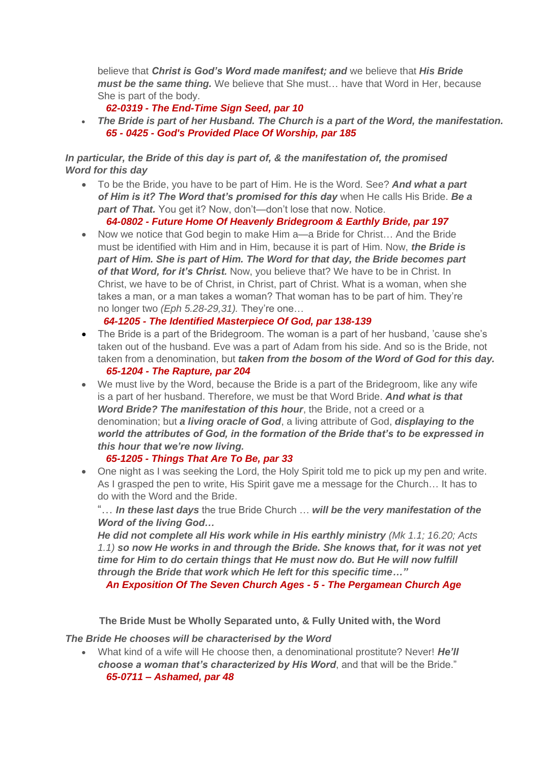believe that *Christ is God's Word made manifest; and* we believe that *His Bride must be the same thing.* We believe that She must… have that Word in Her, because She is part of the body.

## *62-0319 - The End-Time Sign Seed, par 10*

• *The Bride is part of her Husband. The Church is a part of the Word, the manifestation. 65 - 0425 - God's Provided Place Of Worship, par 185*

## *In particular, the Bride of this day is part of, & the manifestation of, the promised Word for this day*

• To be the Bride, you have to be part of Him. He is the Word. See? *And what a part of Him is it? The Word that's promised for this day* when He calls His Bride. *Be a*  **part of That.** You get it? Now, don't—don't lose that now. Notice.

#### *64-0802 - Future Home Of Heavenly Bridegroom & Earthly Bride, par 197*

• Now we notice that God begin to make Him a—a Bride for Christ... And the Bride must be identified with Him and in Him, because it is part of Him. Now, *the Bride is part of Him. She is part of Him. The Word for that day, the Bride becomes part of that Word, for it's Christ.* Now, you believe that? We have to be in Christ. In Christ, we have to be of Christ, in Christ, part of Christ. What is a woman, when she takes a man, or a man takes a woman? That woman has to be part of him. They're no longer two *(Eph 5.28-29,31).* They're one…

## *64-1205 - The Identified Masterpiece Of God, par 138-139*

- The Bride is a part of the Bridegroom. The woman is a part of her husband, 'cause she's taken out of the husband. Eve was a part of Adam from his side. And so is the Bride, not taken from a denomination, but *taken from the bosom of the Word of God for this day. 65-1204 - The Rapture, par 204*
- We must live by the Word, because the Bride is a part of the Bridegroom, like any wife is a part of her husband. Therefore, we must be that Word Bride. *And what is that Word Bride? The manifestation of this hour*, the Bride, not a creed or a denomination; but *a living oracle of God*, a living attribute of God, *displaying to the world the attributes of God, in the formation of the Bride that's to be expressed in this hour that we're now living.*

## *65-1205 - Things That Are To Be, par 33*

• One night as I was seeking the Lord, the Holy Spirit told me to pick up my pen and write. As I grasped the pen to write, His Spirit gave me a message for the Church… It has to do with the Word and the Bride.

"… *In these last days* the true Bride Church … *will be the very manifestation of the Word of the living God…*

*He did not complete all His work while in His earthly ministry (Mk 1.1; 16.20; Acts 1.1) so now He works in and through the Bride. She knows that, for it was not yet time for Him to do certain things that He must now do. But He will now fulfill through the Bride that work which He left for this specific time…"*

 *An Exposition Of The Seven Church Ages - 5 - The Pergamean Church Age*

**The Bride Must be Wholly Separated unto, & Fully United with, the Word**

*The Bride He chooses will be characterised by the Word*

• What kind of a wife will He choose then, a denominational prostitute? Never! *He'll choose a woman that's characterized by His Word*, and that will be the Bride."  *65-0711 – Ashamed, par 48*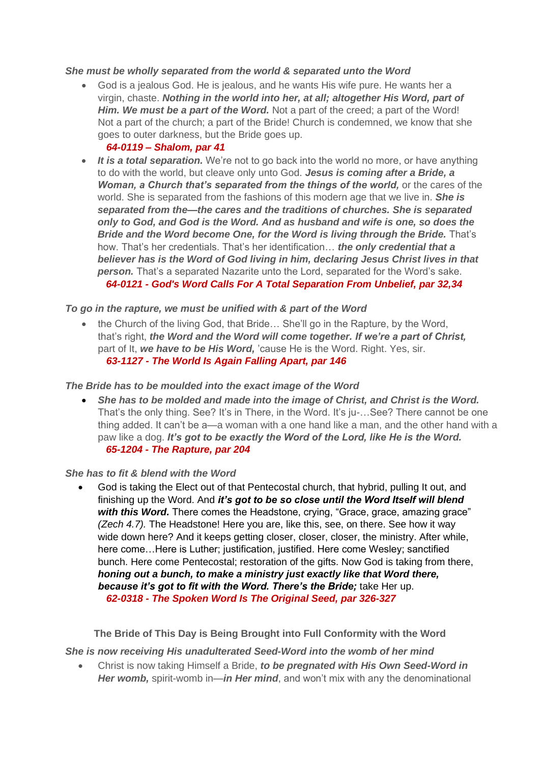#### *She must be wholly separated from the world & separated unto the Word*

• God is a jealous God. He is jealous, and he wants His wife pure. He wants her a virgin, chaste. *Nothing in the world into her, at all; altogether His Word, part of Him. We must be a part of the Word.* Not a part of the creed; a part of the Word! Not a part of the church; a part of the Bride! Church is condemned, we know that she goes to outer darkness, but the Bride goes up.

#### *64-0119 – Shalom, par 41*

• *It is a total separation.* We're not to go back into the world no more, or have anything to do with the world, but cleave only unto God. *Jesus is coming after a Bride, a Woman, a Church that's separated from the things of the world,* or the cares of the world. She is separated from the fashions of this modern age that we live in. *She is separated from the—the cares and the traditions of churches. She is separated only to God, and God is the Word. And as husband and wife is one, so does the Bride and the Word become One, for the Word is living through the Bride.* That's how. That's her credentials. That's her identification… *the only credential that a believer has is the Word of God living in him, declaring Jesus Christ lives in that person.* That's a separated Nazarite unto the Lord, separated for the Word's sake.  *64-0121 - God's Word Calls For A Total Separation From Unbelief, par 32,34*

#### *To go in the rapture, we must be unified with & part of the Word*

• the Church of the living God, that Bride… She'll go in the Rapture, by the Word, that's right, *the Word and the Word will come together. If we're a part of Christ,*  part of It, *we have to be His Word,* 'cause He is the Word. Right. Yes, sir.  *63-1127 - The World Is Again Falling Apart, par 146*

#### *The Bride has to be moulded into the exact image of the Word*

• *She has to be molded and made into the image of Christ, and Christ is the Word.* That's the only thing. See? It's in There, in the Word. It's ju-…See? There cannot be one thing added. It can't be a—a woman with a one hand like a man, and the other hand with a paw like a dog. *It's got to be exactly the Word of the Lord, like He is the Word. 65-1204 - The Rapture, par 204*

#### *She has to fit & blend with the Word*

• God is taking the Elect out of that Pentecostal church, that hybrid, pulling It out, and finishing up the Word. And *it's got to be so close until the Word Itself will blend with this Word.* There comes the Headstone, crying, "Grace, grace, amazing grace" *(Zech 4.7).* The Headstone! Here you are, like this, see, on there. See how it way wide down here? And it keeps getting closer, closer, closer, the ministry. After while, here come…Here is Luther; justification, justified. Here come Wesley; sanctified bunch. Here come Pentecostal; restoration of the gifts. Now God is taking from there, *honing out a bunch, to make a ministry just exactly like that Word there, because it's got to fit with the Word. There's the Bride;* take Her up.  *62-0318 - The Spoken Word Is The Original Seed, par 326-327*

**The Bride of This Day is Being Brought into Full Conformity with the Word**

*She is now receiving His unadulterated Seed-Word into the womb of her mind*

• Christ is now taking Himself a Bride, *to be pregnated with His Own Seed-Word in Her womb,* spirit-womb in—*in Her mind*, and won't mix with any the denominational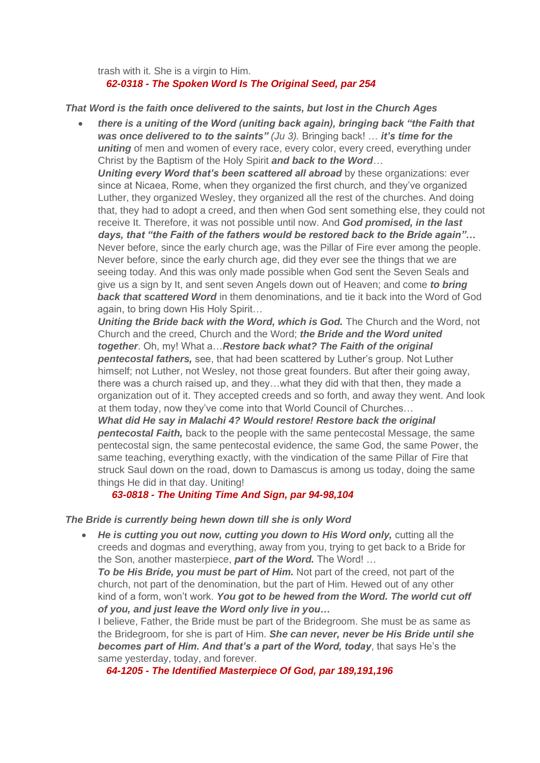trash with it. She is a virgin to Him.  *62-0318 - The Spoken Word Is The Original Seed, par 254*

#### *That Word is the faith once delivered to the saints, but lost in the Church Ages*

• *there is a uniting of the Word (uniting back again), bringing back "the Faith that was once delivered to to the saints" (Ju 3).* Bringing back! … *it's time for the uniting* of men and women of every race, every color, every creed, everything under Christ by the Baptism of the Holy Spirit *and back to the Word*…

**Uniting every Word that's been scattered all abroad** by these organizations: ever since at Nicaea, Rome, when they organized the first church, and they've organized Luther, they organized Wesley, they organized all the rest of the churches. And doing that, they had to adopt a creed, and then when God sent something else, they could not receive It. Therefore, it was not possible until now. And *God promised, in the last days, that "the Faith of the fathers would be restored back to the Bride again"…* Never before, since the early church age, was the Pillar of Fire ever among the people. Never before, since the early church age, did they ever see the things that we are seeing today. And this was only made possible when God sent the Seven Seals and give us a sign by It, and sent seven Angels down out of Heaven; and come *to bring back that scattered Word* in them denominations, and tie it back into the Word of God again, to bring down His Holy Spirit…

**Uniting the Bride back with the Word, which is God.** The Church and the Word, not Church and the creed, Church and the Word; *the Bride and the Word united together*. Oh, my! What a…*Restore back what? The Faith of the original pentecostal fathers,* see, that had been scattered by Luther's group. Not Luther himself; not Luther, not Wesley, not those great founders. But after their going away, there was a church raised up, and they…what they did with that then, they made a organization out of it. They accepted creeds and so forth, and away they went. And look at them today, now they've come into that World Council of Churches…

*What did He say in Malachi 4? Would restore! Restore back the original pentecostal Faith,* back to the people with the same pentecostal Message, the same pentecostal sign, the same pentecostal evidence, the same God, the same Power, the same teaching, everything exactly, with the vindication of the same Pillar of Fire that struck Saul down on the road, down to Damascus is among us today, doing the same things He did in that day. Uniting!

## *63-0818 - The Uniting Time And Sign, par 94-98,104*

#### *The Bride is currently being hewn down till she is only Word*

• He is cutting you out now, cutting you down to His Word only, cutting all the creeds and dogmas and everything, away from you, trying to get back to a Bride for the Son, another masterpiece, *part of the Word.* The Word! …

**To be His Bride, you must be part of Him.** Not part of the creed, not part of the church, not part of the denomination, but the part of Him. Hewed out of any other kind of a form, won't work. *You got to be hewed from the Word. The world cut off of you, and just leave the Word only live in you…*

I believe, Father, the Bride must be part of the Bridegroom. She must be as same as the Bridegroom, for she is part of Him. *She can never, never be His Bride until she becomes part of Him. And that's a part of the Word, today*, that says He's the same yesterday, today, and forever.

 *64-1205 - The Identified Masterpiece Of God, par 189,191,196*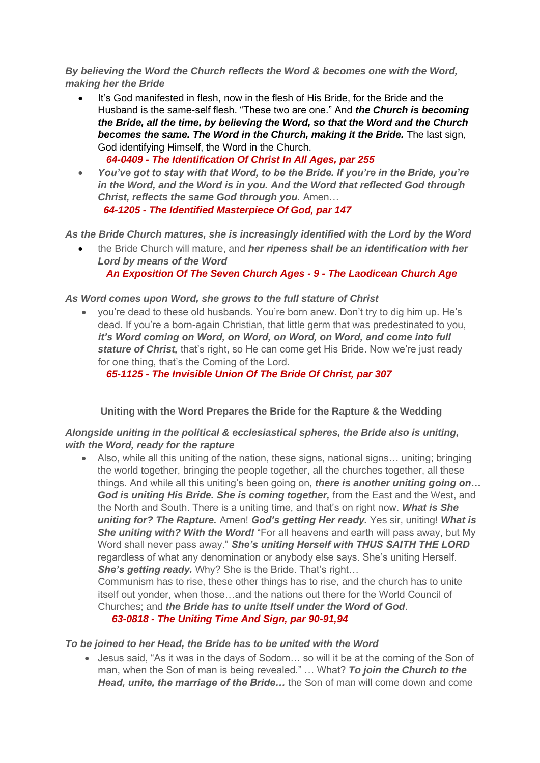*By believing the Word the Church reflects the Word & becomes one with the Word, making her the Bride*

- It's God manifested in flesh, now in the flesh of His Bride, for the Bride and the Husband is the same-self flesh. "These two are one." And *the Church is becoming the Bride, all the time, by believing the Word, so that the Word and the Church becomes the same. The Word in the Church, making it the Bride.* The last sign, God identifying Himself, the Word in the Church.  *64-0409 - The Identification Of Christ In All Ages, par 255*
- *You've got to stay with that Word, to be the Bride. If you're in the Bride, you're in the Word, and the Word is in you. And the Word that reflected God through Christ, reflects the same God through you.* Amen…  *64-1205 - The Identified Masterpiece Of God, par 147*

*As the Bride Church matures, she is increasingly identified with the Lord by the Word*

• the Bride Church will mature, and *her ripeness shall be an identification with her Lord by means of the Word An Exposition Of The Seven Church Ages - 9 - The Laodicean Church Age*

#### *As Word comes upon Word, she grows to the full stature of Christ*

• you're dead to these old husbands. You're born anew. Don't try to dig him up. He's dead. If you're a born-again Christian, that little germ that was predestinated to you, *it's Word coming on Word, on Word, on Word, on Word, and come into full stature of Christ,* that's right, so He can come get His Bride. Now we're just ready for one thing, that's the Coming of the Lord.

 *65-1125 - The Invisible Union Of The Bride Of Christ, par 307*

## **Uniting with the Word Prepares the Bride for the Rapture & the Wedding**

#### *Alongside uniting in the political & ecclesiastical spheres, the Bride also is uniting, with the Word, ready for the rapture*

• Also, while all this uniting of the nation, these signs, national signs… uniting; bringing the world together, bringing the people together, all the churches together, all these things. And while all this uniting's been going on, *there is another uniting going on… God is uniting His Bride. She is coming together,* from the East and the West, and the North and South. There is a uniting time, and that's on right now. *What is She uniting for? The Rapture.* Amen! *God's getting Her ready.* Yes sir, uniting! *What is She uniting with? With the Word!* "For all heavens and earth will pass away, but My Word shall never pass away." *She's uniting Herself with THUS SAITH THE LORD* regardless of what any denomination or anybody else says. She's uniting Herself. *She's getting ready.* Why? She is the Bride. That's right...

Communism has to rise, these other things has to rise, and the church has to unite itself out yonder, when those…and the nations out there for the World Council of Churches; and *the Bride has to unite Itself under the Word of God*.

*63-0818 - The Uniting Time And Sign, par 90-91,94*

#### *To be joined to her Head, the Bride has to be united with the Word*

• Jesus said, "As it was in the days of Sodom… so will it be at the coming of the Son of man, when the Son of man is being revealed." … What? *To join the Church to the Head, unite, the marriage of the Bride…* the Son of man will come down and come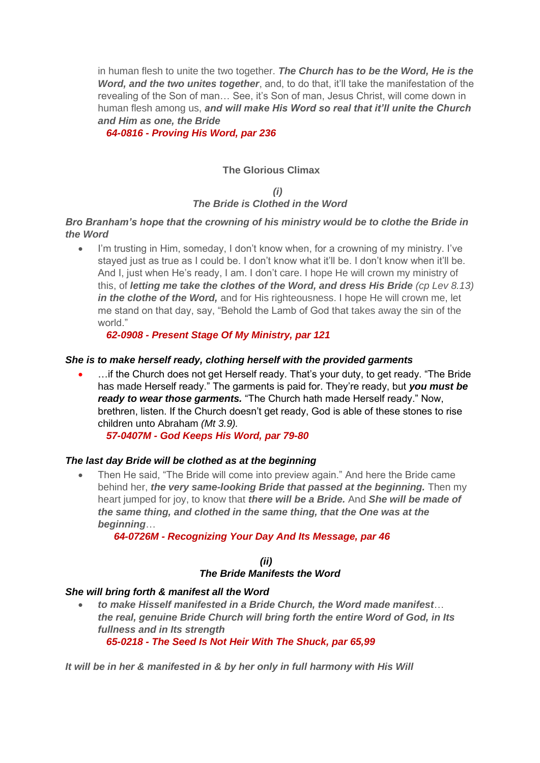in human flesh to unite the two together. *The Church has to be the Word, He is the Word, and the two unites together*, and, to do that, it'll take the manifestation of the revealing of the Son of man… See, it's Son of man, Jesus Christ, will come down in human flesh among us, *and will make His Word so real that it'll unite the Church and Him as one, the Bride*

 *64-0816 - Proving His Word, par 236*

## **The Glorious Climax**

## *(i) The Bride is Clothed in the Word*

#### *Bro Branham's hope that the crowning of his ministry would be to clothe the Bride in the Word*

I'm trusting in Him, someday, I don't know when, for a crowning of my ministry. I've stayed just as true as I could be. I don't know what it'll be. I don't know when it'll be. And I, just when He's ready, I am. I don't care. I hope He will crown my ministry of this, of *letting me take the clothes of the Word, and dress His Bride (cp Lev 8.13) in the clothe of the Word,* and for His righteousness. I hope He will crown me, let me stand on that day, say, "Behold the Lamb of God that takes away the sin of the world."

 *62-0908 - Present Stage Of My Ministry, par 121*

#### *She is to make herself ready, clothing herself with the provided garments*

... if the Church does not get Herself ready. That's your duty, to get ready. "The Bride has made Herself ready." The garments is paid for. They're ready, but *you must be ready to wear those garments.* "The Church hath made Herself ready." Now, brethren, listen. If the Church doesn't get ready, God is able of these stones to rise children unto Abraham *(Mt 3.9).*

 *57-0407M - God Keeps His Word, par 79-80*

#### *The last day Bride will be clothed as at the beginning*

• Then He said, "The Bride will come into preview again." And here the Bride came behind her, *the very same-looking Bride that passed at the beginning.* Then my heart jumped for joy, to know that *there will be a Bride.* And *She will be made of the same thing, and clothed in the same thing, that the One was at the beginning*…

#### *64-0726M - Recognizing Your Day And Its Message, par 46*

#### *(ii) The Bride Manifests the Word*

#### *She will bring forth & manifest all the Word*

• *to make Hisself manifested in a Bride Church, the Word made manifest*… *the real, genuine Bride Church will bring forth the entire Word of God, in Its fullness and in Its strength 65-0218 - The Seed Is Not Heir With The Shuck, par 65,99*

*It will be in her & manifested in & by her only in full harmony with His Will*